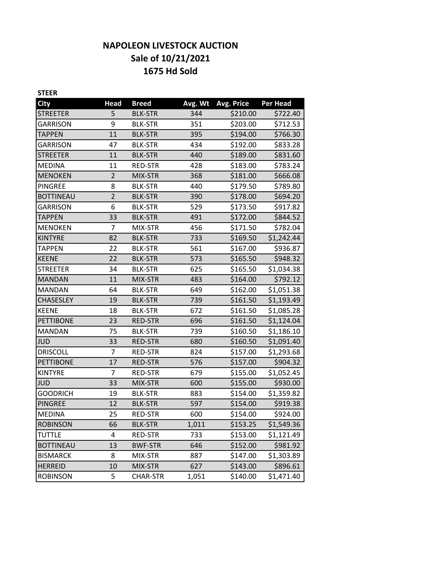# **NAPOLEON LIVESTOCK AUCTION Sale of 10/21/2021 1675 Hd Sold**

| <b>STEER</b>     |                |                 |         |                   |                 |
|------------------|----------------|-----------------|---------|-------------------|-----------------|
| <b>City</b>      | <b>Head</b>    | <b>Breed</b>    | Avg. Wt | <b>Avg. Price</b> | <b>Per Head</b> |
| <b>STREETER</b>  | 5              | <b>BLK-STR</b>  | 344     | \$210.00          | \$722.40        |
| <b>GARRISON</b>  | 9              | <b>BLK-STR</b>  | 351     | \$203.00          | \$712.53        |
| <b>TAPPEN</b>    | 11             | <b>BLK-STR</b>  | 395     | \$194.00          | \$766.30        |
| <b>GARRISON</b>  | 47             | <b>BLK-STR</b>  | 434     | \$192.00          | \$833.28        |
| <b>STREETER</b>  | 11             | <b>BLK-STR</b>  | 440     | \$189.00          | \$831.60        |
| <b>MEDINA</b>    | 11             | RED-STR         | 428     | \$183.00          | \$783.24        |
| <b>MENOKEN</b>   | $\overline{2}$ | MIX-STR         | 368     | \$181.00          | \$666.08        |
| <b>PINGREE</b>   | 8              | <b>BLK-STR</b>  | 440     | \$179.50          | \$789.80        |
| <b>BOTTINEAU</b> | $\overline{2}$ | <b>BLK-STR</b>  | 390     | \$178.00          | \$694.20        |
| <b>GARRISON</b>  | 6              | <b>BLK-STR</b>  | 529     | \$173.50          | \$917.82        |
| <b>TAPPEN</b>    | 33             | <b>BLK-STR</b>  | 491     | \$172.00          | \$844.52        |
| <b>MENOKEN</b>   | 7              | MIX-STR         | 456     | \$171.50          | \$782.04        |
| <b>KINTYRE</b>   | 82             | <b>BLK-STR</b>  | 733     | \$169.50          | \$1,242.44      |
| <b>TAPPEN</b>    | 22             | <b>BLK-STR</b>  | 561     | \$167.00          | \$936.87        |
| <b>KEENE</b>     | 22             | <b>BLK-STR</b>  | 573     | \$165.50          | \$948.32        |
| <b>STREETER</b>  | 34             | <b>BLK-STR</b>  | 625     | \$165.50          | \$1,034.38      |
| <b>MANDAN</b>    | 11             | MIX-STR         | 483     | \$164.00          | \$792.12        |
| <b>MANDAN</b>    | 64             | <b>BLK-STR</b>  | 649     | \$162.00          | \$1,051.38      |
| <b>CHASESLEY</b> | 19             | <b>BLK-STR</b>  | 739     | \$161.50          | \$1,193.49      |
| <b>KEENE</b>     | 18             | <b>BLK-STR</b>  | 672     | \$161.50          | \$1,085.28      |
| <b>PETTIBONE</b> | 23             | <b>RED-STR</b>  | 696     | \$161.50          | \$1,124.04      |
| <b>MANDAN</b>    | 75             | <b>BLK-STR</b>  | 739     | \$160.50          | \$1,186.10      |
| <b>JUD</b>       | 33             | <b>RED-STR</b>  | 680     | \$160.50          | \$1,091.40      |
| <b>DRISCOLL</b>  | 7              | RED-STR         | 824     | \$157.00          | \$1,293.68      |
| <b>PETTIBONE</b> | 17             | RED-STR         | 576     | \$157.00          | \$904.32        |
| <b>KINTYRE</b>   | 7              | RED-STR         | 679     | \$155.00          | \$1,052.45      |
| <b>JUD</b>       | 33             | MIX-STR         | 600     | \$155.00          | \$930.00        |
| <b>GOODRICH</b>  | 19             | <b>BLK-STR</b>  | 883     | \$154.00          | \$1,359.82      |
| <b>PINGREE</b>   | 12             | <b>BLK-STR</b>  | 597     | \$154.00          | \$919.38        |
| <b>MEDINA</b>    | 25             | <b>RED-STR</b>  | 600     | \$154.00          | \$924.00        |
| <b>ROBINSON</b>  | 66             | <b>BLK-STR</b>  | 1,011   | \$153.25          | \$1,549.36      |
| TUTTLE           | 4              | <b>RED-STR</b>  | 733     | \$153.00          | \$1,121.49      |
| <b>BOTTINEAU</b> | 13             | <b>BWF-STR</b>  | 646     | \$152.00          | \$981.92        |
| <b>BISMARCK</b>  | 8              | MIX-STR         | 887     | \$147.00          | \$1,303.89      |
| <b>HERREID</b>   | 10             | MIX-STR         | 627     | \$143.00          | \$896.61        |
| <b>ROBINSON</b>  | 5              | <b>CHAR-STR</b> | 1,051   | \$140.00          | \$1,471.40      |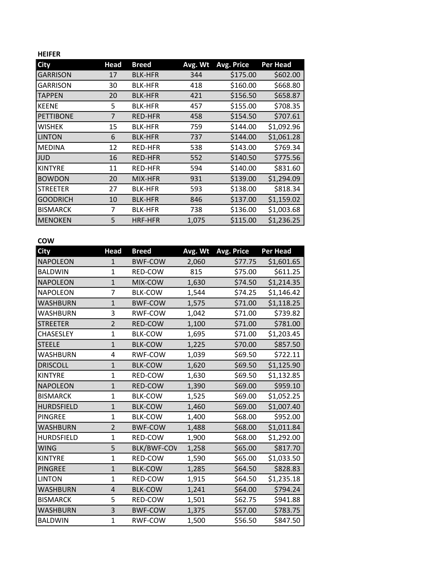### **HEIFER**

| <b>City</b>      | Head | <b>Breed</b>   | Avg. Wt | Avg. Price | Per Head   |
|------------------|------|----------------|---------|------------|------------|
| <b>GARRISON</b>  | 17   | <b>BLK-HFR</b> | 344     | \$175.00   | \$602.00   |
| <b>GARRISON</b>  | 30   | <b>BLK-HFR</b> | 418     | \$160.00   | \$668.80   |
| <b>TAPPEN</b>    | 20   | <b>BLK-HFR</b> | 421     | \$156.50   | \$658.87   |
| <b>KEENE</b>     | 5    | <b>BLK-HFR</b> | 457     | \$155.00   | \$708.35   |
| <b>PETTIBONE</b> | 7    | <b>RED-HFR</b> | 458     | \$154.50   | \$707.61   |
| <b>WISHEK</b>    | 15   | <b>BLK-HFR</b> | 759     | \$144.00   | \$1,092.96 |
| <b>LINTON</b>    | 6    | <b>BLK-HFR</b> | 737     | \$144.00   | \$1,061.28 |
| <b>MEDINA</b>    | 12   | <b>RED-HFR</b> | 538     | \$143.00   | \$769.34   |
| <b>JUD</b>       | 16   | <b>RED-HFR</b> | 552     | \$140.50   | \$775.56   |
| <b>KINTYRE</b>   | 11   | <b>RED-HFR</b> | 594     | \$140.00   | \$831.60   |
| <b>BOWDON</b>    | 20   | MIX-HFR        | 931     | \$139.00   | \$1,294.09 |
| <b>STREETER</b>  | 27   | <b>BLK-HFR</b> | 593     | \$138.00   | \$818.34   |
| <b>GOODRICH</b>  | 10   | <b>BLK-HFR</b> | 846     | \$137.00   | \$1,159.02 |
| <b>BISMARCK</b>  | 7    | <b>BLK-HFR</b> | 738     | \$136.00   | \$1,003.68 |
| <b>MENOKEN</b>   | 5    | <b>HRF-HFR</b> | 1,075   | \$115.00   | \$1,236.25 |

## **COW**

| City              | <b>Head</b>    | <b>Breed</b>       | Avg. Wt | <b>Avg. Price</b> | Per Head   |
|-------------------|----------------|--------------------|---------|-------------------|------------|
| <b>NAPOLEON</b>   | 1              | <b>BWF-COW</b>     | 2,060   | \$77.75           | \$1,601.65 |
| <b>BALDWIN</b>    | $\mathbf{1}$   | RED-COW            | 815     | \$75.00           | \$611.25   |
| <b>NAPOLEON</b>   | $\mathbf{1}$   | MIX-COW            | 1,630   | \$74.50           | \$1,214.35 |
| <b>NAPOLEON</b>   | $\overline{7}$ | <b>BLK-COW</b>     | 1,544   | \$74.25           | \$1,146.42 |
| <b>WASHBURN</b>   | $\mathbf{1}$   | <b>BWF-COW</b>     | 1,575   | \$71.00           | \$1,118.25 |
| <b>WASHBURN</b>   | 3              | <b>RWF-COW</b>     | 1,042   | \$71.00           | \$739.82   |
| <b>STREETER</b>   | $\overline{2}$ | RED-COW            | 1,100   | \$71.00           | \$781.00   |
| <b>CHASESLEY</b>  | 1              | <b>BLK-COW</b>     | 1,695   | \$71.00           | \$1,203.45 |
| <b>STEELE</b>     | $\mathbf{1}$   | <b>BLK-COW</b>     | 1,225   | \$70.00           | \$857.50   |
| WASHBURN          | 4              | RWF-COW            | 1,039   | \$69.50           | \$722.11   |
| <b>DRISCOLL</b>   | $\mathbf{1}$   | <b>BLK-COW</b>     | 1,620   | \$69.50           | \$1,125.90 |
| <b>KINTYRE</b>    | $\mathbf{1}$   | RED-COW            | 1,630   | \$69.50           | \$1,132.85 |
| <b>NAPOLEON</b>   | $\mathbf{1}$   | RED-COW            | 1,390   | \$69.00           | \$959.10   |
| <b>BISMARCK</b>   | $\mathbf{1}$   | <b>BLK-COW</b>     | 1,525   | \$69.00           | \$1,052.25 |
| <b>HURDSFIELD</b> | $\mathbf{1}$   | <b>BLK-COW</b>     | 1,460   | \$69.00           | \$1,007.40 |
| <b>PINGREE</b>    | 1              | <b>BLK-COW</b>     | 1,400   | \$68.00           | \$952.00   |
| <b>WASHBURN</b>   | $\overline{2}$ | <b>BWF-COW</b>     | 1,488   | \$68.00           | \$1,011.84 |
| <b>HURDSFIELD</b> | $\overline{1}$ | RED-COW            | 1,900   | \$68.00           | \$1,292.00 |
| <b>WING</b>       | 5              | <b>BLK/BWF-COV</b> | 1,258   | \$65.00           | \$817.70   |
| <b>KINTYRE</b>    | $\overline{1}$ | RED-COW            | 1,590   | \$65.00           | \$1,033.50 |
| <b>PINGREE</b>    | $\overline{1}$ | <b>BLK-COW</b>     | 1,285   | \$64.50           | \$828.83   |
| <b>LINTON</b>     | $\mathbf{1}$   | RED-COW            | 1,915   | \$64.50           | \$1,235.18 |
| <b>WASHBURN</b>   | 4              | <b>BLK-COW</b>     | 1,241   | \$64.00           | \$794.24   |
| <b>BISMARCK</b>   | 5              | RED-COW            | 1,501   | \$62.75           | \$941.88   |
| <b>WASHBURN</b>   | 3              | <b>BWF-COW</b>     | 1,375   | \$57.00           | \$783.75   |
| <b>BALDWIN</b>    | $\overline{1}$ | RWF-COW            | 1,500   | \$56.50           | \$847.50   |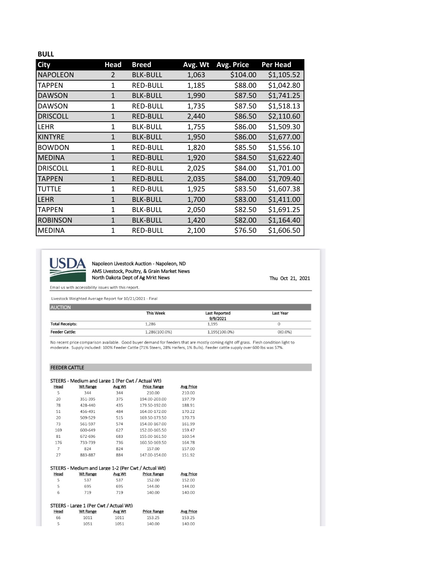#### **BULL**

| <b>City</b>     | <b>Head</b>  | <b>Breed</b>    | Avg. Wt | Avg. Price | Per Head   |
|-----------------|--------------|-----------------|---------|------------|------------|
| <b>NAPOLEON</b> | 2            | <b>BLK-BULL</b> | 1,063   | \$104.00   | \$1,105.52 |
| TAPPEN          | 1            | <b>RED-BULL</b> | 1,185   | \$88.00    | \$1,042.80 |
| <b>DAWSON</b>   | $\mathbf{1}$ | <b>BLK-BULL</b> | 1,990   | \$87.50    | \$1,741.25 |
| <b>DAWSON</b>   | 1            | <b>RED-BULL</b> | 1,735   | \$87.50    | \$1,518.13 |
| <b>DRISCOLL</b> | $\mathbf{1}$ | <b>RED-BULL</b> | 2,440   | \$86.50    | \$2,110.60 |
| <b>LEHR</b>     | 1            | <b>BLK-BULL</b> | 1,755   | \$86.00    | \$1,509.30 |
| <b>KINTYRE</b>  | 1            | <b>BLK-BULL</b> | 1,950   | \$86.00    | \$1,677.00 |
| <b>BOWDON</b>   | 1            | <b>RED-BULL</b> | 1,820   | \$85.50    | \$1,556.10 |
| <b>MEDINA</b>   | $\mathbf{1}$ | <b>RED-BULL</b> | 1,920   | \$84.50    | \$1,622.40 |
| <b>DRISCOLL</b> | $\mathbf{1}$ | RED-BULL        | 2,025   | \$84.00    | \$1,701.00 |
| <b>TAPPEN</b>   | $\mathbf{1}$ | <b>RED-BULL</b> | 2,035   | \$84.00    | \$1,709.40 |
| <b>TUTTLE</b>   | 1            | <b>RED-BULL</b> | 1,925   | \$83.50    | \$1,607.38 |
| <b>LEHR</b>     | $\mathbf{1}$ | <b>BLK-BULL</b> | 1,700   | \$83.00    | \$1,411.00 |
| <b>TAPPEN</b>   | $\mathbf{1}$ | <b>BLK-BULL</b> | 2,050   | \$82.50    | \$1,691.25 |
| <b>ROBINSON</b> | 1            | <b>BLK-BULL</b> | 1,420   | \$82.00    | \$1,164.40 |
| <b>MEDINA</b>   | 1            | <b>RED-BULL</b> | 2,100   | \$76.50    | \$1,606.50 |



Napoleon Livestock Auction - Napoleon, ND AMS Livestock, Poultry, & Grain Market News North Dakota Dept of Ag Mrkt News

Thu Oct 21, 2021

Email us with accessibility issues with this report.

Livestock Weighted Average Report for 10/21/2021 - Final

|                        | <b>This Week</b> | Last Reported<br>9/9/2021 | Last Year  |
|------------------------|------------------|---------------------------|------------|
| <b>Total Receipts:</b> | 1,286            | 1,195                     |            |
| <b>Feeder Cattle:</b>  | 1,286(100.0%)    | 1,195(100.0%)             | $O(0.0\%)$ |

No recent price comparison available. Good buyer demand for feeders that are mostly coming right off grass. Flesh condition light to<br>moderate. Supply included: 100% Feeder Cattle (71% Steers, 28% Heifers, 1% Bulls). Feeder

#### FEEDER CATTLE

 $\sf 5$ 

1051

|                | STEERS - Medium and Large 1 (Per Cwt / Actual Wt)   |        |                    |                  |
|----------------|-----------------------------------------------------|--------|--------------------|------------------|
| Head           | <b>Wt Range</b>                                     | Avg Wt | <b>Price Range</b> | <b>Avg Price</b> |
| 5              | 344                                                 | 344    | 210.00             | 210.00           |
| 20             | 351-395                                             | 375    | 194.00-203.00      | 197.79           |
| 78             | 428-440                                             | 435    | 179.50-192.00      | 188.91           |
| 51             | 456-491                                             | 484    | 164.00-172.00      | 170.22           |
| 20             | 509-529                                             | 515    | 169.50-173.50      | 170.73           |
| 73             | 561-597                                             | 574    | 154.00-167.00      | 161.99           |
| 169            | 600-649                                             | 627    | 152.00-165.50      | 159.47           |
| 81             | 672-696                                             | 683    | 155.00-161.50      | 160.54           |
| 176            | 733-739                                             | 736    | 160.50-169.50      | 164.78           |
| $\overline{7}$ | 824                                                 | 824    | 157.00             | 157.00           |
| 27             | 883-887                                             | 884    | 147.00-154.00      | 151.92           |
|                |                                                     |        |                    |                  |
|                | STEERS - Medium and Large 1-2 (Per Cwt / Actual Wt) |        |                    |                  |
| Head           | <b>Wt Range</b>                                     | Avg Wt | <b>Price Range</b> | <b>Avg Price</b> |
| 5              | 537                                                 | 537    | 152.00             | 152.00           |
| 5              | 695                                                 | 695    | 144.00             | 144.00           |
| 6              | 719                                                 | 719    | 140.00             | 140.00           |
|                |                                                     |        |                    |                  |
|                | STEERS - Large 1 (Per Cwt / Actual Wt)              |        |                    |                  |
| Head           | <b>Wt Range</b>                                     | Avg Wt | <b>Price Range</b> | <b>Avg Price</b> |
| 66             | 1011                                                | 1011   | 153.25             | 153.25           |

1051

140.00

140.00